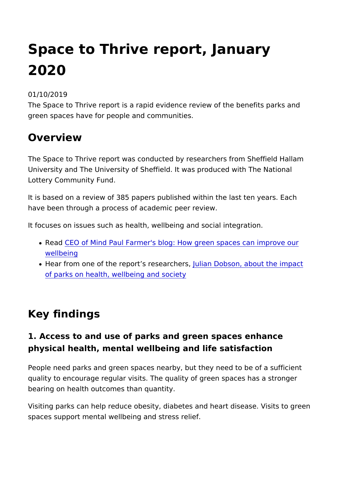# Space to Thrive report, January 2020

01/10/2019

The Space to Thrive report is a rapid evidence review of the be green spaces have for people and communities.

### Overview

The Space to Thrive report was conducted by researchers from University and The University of Sheffield. It was produced with Lottery Community Fund.

It is based on a review of 385 papers published within the last have been through a process of academic peer review.

It focuses on issues such as health, wellbeing and social integr

- Read EO of Mind Paul Farmer's blog: How green spaces can [wellbe](https://www.heritagefund.org.uk/blogs/how-green-space-improve-our-wellbeing)ing
- Hear from one of the report s ruled beaut cDheebs on, about the impa [of parks on health, wellbeing](https://www.heritagefund.org.uk/stories/looking-closer-space-thrive-report) and society

### Key findings

1. Access to and use of parks and green spaces enhan physical health, mental wellbeing and life satisfaction

People need parks and green spaces nearby, but they need to b quality to encourage regular visits. The quality of green spaces bearing on health outcomes than quantity.

Visiting parks can help reduce obesity, diabetes and heart dise spaces support mental wellbeing and stress relief.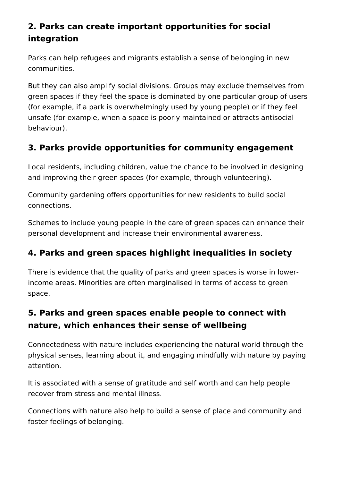## **2. Parks can create important opportunities for social integration**

Parks can help refugees and migrants establish a sense of belonging in new communities.

But they can also amplify social divisions. Groups may exclude themselves from green spaces if they feel the space is dominated by one particular group of users (for example, if a park is overwhelmingly used by young people) or if they feel unsafe (for example, when a space is poorly maintained or attracts antisocial behaviour).

### **3. Parks provide opportunities for community engagement**

Local residents, including children, value the chance to be involved in designing and improving their green spaces (for example, through volunteering).

Community gardening offers opportunities for new residents to build social connections.

Schemes to include young people in the care of green spaces can enhance their personal development and increase their environmental awareness.

### **4. Parks and green spaces highlight inequalities in society**

There is evidence that the quality of parks and green spaces is worse in lowerincome areas. Minorities are often marginalised in terms of access to green space.

### **5. Parks and green spaces enable people to connect with nature, which enhances their sense of wellbeing**

Connectedness with nature includes experiencing the natural world through the physical senses, learning about it, and engaging mindfully with nature by paying attention.

It is associated with a sense of gratitude and self worth and can help people recover from stress and mental illness.

Connections with nature also help to build a sense of place and community and foster feelings of belonging.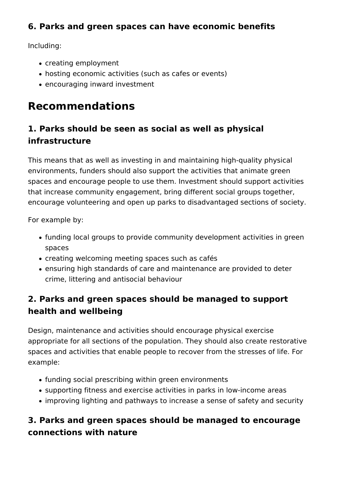### **6. Parks and green spaces can have economic benefits**

Including:

- creating employment
- hosting economic activities (such as cafes or events)
- encouraging inward investment

# **Recommendations**

# **1. Parks should be seen as social as well as physical infrastructure**

This means that as well as investing in and maintaining high-quality physical environments, funders should also support the activities that animate green spaces and encourage people to use them. Investment should support activities that increase community engagement, bring different social groups together, encourage volunteering and open up parks to disadvantaged sections of society.

For example by:

- funding local groups to provide community development activities in green spaces
- creating welcoming meeting spaces such as cafés
- ensuring high standards of care and maintenance are provided to deter crime, littering and antisocial behaviour

### **2. Parks and green spaces should be managed to support health and wellbeing**

Design, maintenance and activities should encourage physical exercise appropriate for all sections of the population. They should also create restorative spaces and activities that enable people to recover from the stresses of life. For example:

- funding social prescribing within green environments
- supporting fitness and exercise activities in parks in low-income areas
- improving lighting and pathways to increase a sense of safety and security

### **3. Parks and green spaces should be managed to encourage connections with nature**